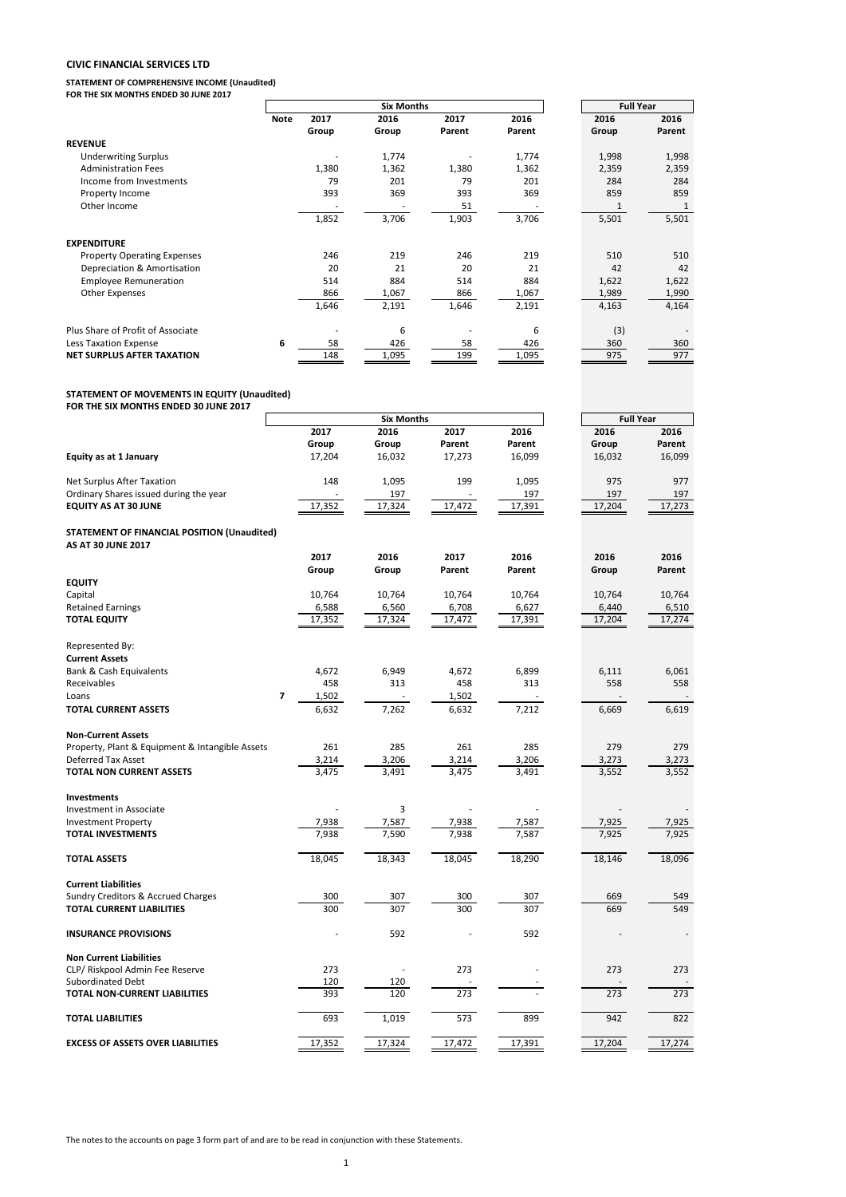### **CIVIC FINANCIAL SERVICES LTD**

**STATEMENT OF COMPREHENSIVE INCOME (Unaudited) FOR THE SIX MONTHS ENDED 30 JUNE 2017**

**Note 2017 2016 2017 2016 2016 2016 Group Group Parent Parent Group Parent REVENUE** Underwriting Surplus 1.998 1,998 1,998 1,998 1,998 1,998 1,998 1,998 1,998 1,998 1,998 1,998 1,998 1,998 1,998<br>Administration Fees 1.380 1,380 1,362 1,362 1,362 2,359 2,359 2,359 1,998 1,998 1,998 1,998 1,998 1,998 1,998 Administration Fees 1,359 1,380 1,362 1,380 1,362 1,362 2,359 2,359 Income from Investments 79 201 79 201 284 284 Property Income 393 369 393 369 859 859 Other Income and the set of the set of the set of the set of the set of the set of the set of the set of the set of the set of the set of the set of the set of the set of the set of the set of the set of the set of the set 1,852 3,706 1,903 3,706 5,501 5,501 **EXPENDITURE** Property Operating Expenses 20 20 219 219 219 219 510 510<br>
Depreciation & Amortisation 20 21 20 21 42 42 Depreciation & Amortisation Employee Remuneration 1.022 1,622 1,622 1,622 1,622 1,622 1,622 1,622 1,622 1,622 1,622 1,980 1,990 Other Expenses 20 1, 200 1, 200 1, 200 1, 200 1, 200 1, 200 1, 200 1, 200 1, 200 1, 200 1, 200 1, 200 200 1, 20 1,646 2,191 1,646 2,191 4,163 4,164 Plus Share of Profit of Associate **6** - 6 - 6 (3) - 6 - 6 (3) - 6 (3) - 6 - 6 (3) - 6 - 6 (3) - 6 - 6 (3) - 6 (3) - 6 - 6 (3) - 6 - 6 (3) - 6 - 6 (3) - 6 - 6 (3) - 6 - 6 (3) - 6 - 6 (3) - 6 - 6 (3) - 6 - 6 (3) - 6 - 6 (3) Less Taxation Expense<br> **6** 58 426 58 426 360 360<br> **NET SURPLUS AFTER TAXATION** 6 448 1,095 58 426 360 377 **NET SURPLUS AFTER TAXATION Six Months Full Year**

### **STATEMENT OF MOVEMENTS IN EQUITY (Unaudited)**

**FOR THE SIX MONTHS ENDED 30 JUNE 2017**

|                                                 | <b>Six Months</b> |        |        |        |        |  | <b>Full Year</b> |        |
|-------------------------------------------------|-------------------|--------|--------|--------|--------|--|------------------|--------|
|                                                 |                   | 2017   | 2016   | 2017   | 2016   |  | 2016             | 2016   |
|                                                 |                   | Group  | Group  | Parent | Parent |  | Group            | Parent |
| <b>Equity as at 1 January</b>                   |                   | 17,204 | 16,032 | 17,273 | 16,099 |  | 16,032           | 16,099 |
| Net Surplus After Taxation                      |                   | 148    | 1,095  | 199    | 1,095  |  | 975              | 977    |
| Ordinary Shares issued during the year          |                   |        | 197    |        | 197    |  | 197              | 197    |
| <b>EQUITY AS AT 30 JUNE</b>                     |                   | 17,352 | 17,324 | 17,472 | 17,391 |  | 17,204           | 17,273 |
| STATEMENT OF FINANCIAL POSITION (Unaudited)     |                   |        |        |        |        |  |                  |        |
| <b>AS AT 30 JUNE 2017</b>                       |                   |        |        |        |        |  |                  |        |
|                                                 |                   | 2017   | 2016   | 2017   | 2016   |  | 2016             | 2016   |
|                                                 |                   | Group  | Group  | Parent | Parent |  | Group            | Parent |
| <b>EQUITY</b>                                   |                   |        |        |        |        |  |                  |        |
| Capital                                         |                   | 10,764 | 10,764 | 10,764 | 10,764 |  | 10,764           | 10,764 |
| <b>Retained Earnings</b>                        |                   | 6,588  | 6,560  | 6,708  | 6,627  |  | 6,440            | 6,510  |
| <b>TOTAL EQUITY</b>                             |                   | 17,352 | 17,324 | 17,472 | 17,391 |  | 17,204           | 17,274 |
| Represented By:                                 |                   |        |        |        |        |  |                  |        |
| <b>Current Assets</b>                           |                   |        |        |        |        |  |                  |        |
| Bank & Cash Equivalents                         |                   | 4,672  | 6,949  | 4,672  | 6,899  |  | 6,111            | 6,061  |
| Receivables                                     |                   | 458    | 313    | 458    | 313    |  | 558              | 558    |
| Loans                                           | 7                 | 1,502  |        | 1,502  |        |  |                  |        |
| <b>TOTAL CURRENT ASSETS</b>                     |                   | 6,632  | 7,262  | 6,632  | 7,212  |  | 6,669            | 6,619  |
| <b>Non-Current Assets</b>                       |                   |        |        |        |        |  |                  |        |
| Property, Plant & Equipment & Intangible Assets |                   | 261    | 285    | 261    | 285    |  | 279              | 279    |
| <b>Deferred Tax Asset</b>                       |                   | 3,214  | 3,206  | 3,214  | 3,206  |  | 3,273            | 3,273  |
| TOTAL NON CURRENT ASSETS                        |                   | 3,475  | 3.491  | 3,475  | 3,491  |  | 3,552            | 3,552  |
| <b>Investments</b>                              |                   |        |        |        |        |  |                  |        |
| Investment in Associate                         |                   |        | 3      |        |        |  |                  |        |
| <b>Investment Property</b>                      |                   | 7,938  | 7,587  | 7,938  | 7,587  |  | 7,925            | 7,925  |
| <b>TOTAL INVESTMENTS</b>                        |                   | 7,938  | 7,590  | 7,938  | 7,587  |  | 7,925            | 7,925  |
| <b>TOTAL ASSETS</b>                             |                   | 18,045 | 18,343 | 18,045 | 18,290 |  | 18,146           | 18,096 |
| <b>Current Liabilities</b>                      |                   |        |        |        |        |  |                  |        |
| Sundry Creditors & Accrued Charges              |                   | 300    | 307    | 300    | 307    |  | 669              | 549    |
| <b>TOTAL CURRENT LIABILITIES</b>                |                   | 300    | 307    | 300    | 307    |  | 669              | 549    |
| <b>INSURANCE PROVISIONS</b>                     |                   |        | 592    |        | 592    |  |                  |        |
| <b>Non Current Liabilities</b>                  |                   |        |        |        |        |  |                  |        |
| CLP/ Riskpool Admin Fee Reserve                 |                   | 273    |        | 273    |        |  | 273              | 273    |
| Subordinated Debt                               |                   | 120    | 120    |        |        |  |                  |        |
| TOTAL NON-CURRENT LIABILITIES                   |                   | 393    | 120    | 273    |        |  | 273              | 273    |
| <b>TOTAL LIABILITIES</b>                        |                   | 693    | 1,019  | 573    | 899    |  | 942              | 822    |
| <b>EXCESS OF ASSETS OVER LIABILITIES</b>        |                   | 17,352 | 17,324 | 17,472 | 17,391 |  | 17,204           | 17,274 |

The notes to the accounts on page 3 form part of and are to be read in conjunction with these Statements.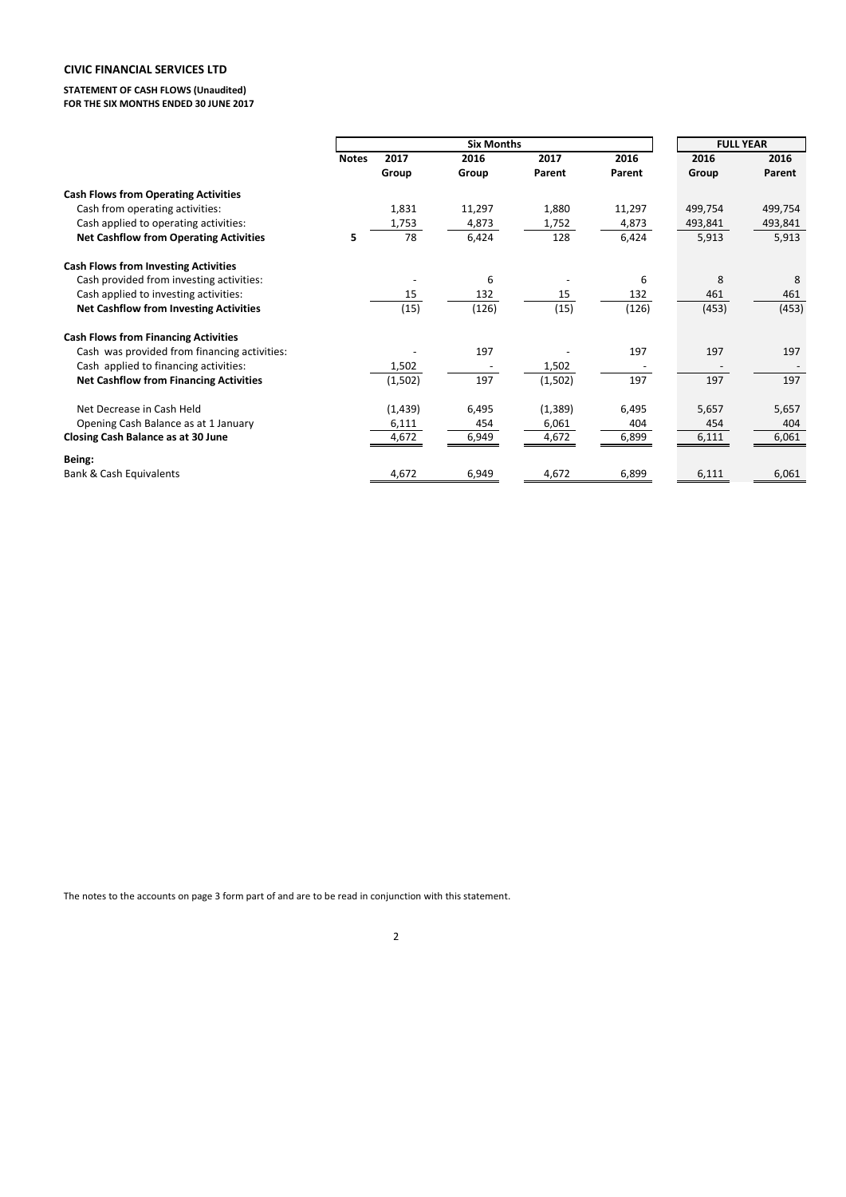# **CIVIC FINANCIAL SERVICES LTD**

**STATEMENT OF CASH FLOWS (Unaudited) FOR THE SIX MONTHS ENDED 30 JUNE 2017**

|                                               | <b>Six Months</b> |          |        |          |        |         | <b>FULL YEAR</b> |  |
|-----------------------------------------------|-------------------|----------|--------|----------|--------|---------|------------------|--|
|                                               | <b>Notes</b>      | 2017     | 2016   | 2017     | 2016   | 2016    | 2016             |  |
|                                               |                   | Group    | Group  | Parent   | Parent | Group   | Parent           |  |
| <b>Cash Flows from Operating Activities</b>   |                   |          |        |          |        |         |                  |  |
| Cash from operating activities:               |                   | 1,831    | 11,297 | 1,880    | 11,297 | 499,754 | 499,754          |  |
| Cash applied to operating activities:         |                   | 1,753    | 4,873  | 1,752    | 4,873  | 493,841 | 493,841          |  |
| <b>Net Cashflow from Operating Activities</b> | 5                 | 78       | 6,424  | 128      | 6,424  | 5,913   | 5,913            |  |
| <b>Cash Flows from Investing Activities</b>   |                   |          |        |          |        |         |                  |  |
| Cash provided from investing activities:      |                   |          | 6      |          | 6      | 8       | 8                |  |
| Cash applied to investing activities:         |                   | 15       | 132    | 15       | 132    | 461     | 461              |  |
| <b>Net Cashflow from Investing Activities</b> |                   | (15)     | (126)  | (15)     | (126)  | (453)   | (453)            |  |
| <b>Cash Flows from Financing Activities</b>   |                   |          |        |          |        |         |                  |  |
| Cash was provided from financing activities:  |                   |          | 197    |          | 197    | 197     | 197              |  |
| Cash applied to financing activities:         |                   | 1,502    |        | 1,502    |        |         |                  |  |
| <b>Net Cashflow from Financing Activities</b> |                   | (1,502)  | 197    | (1,502)  | 197    | 197     | 197              |  |
| Net Decrease in Cash Held                     |                   | (1, 439) | 6,495  | (1, 389) | 6,495  | 5,657   | 5,657            |  |
| Opening Cash Balance as at 1 January          |                   | 6,111    | 454    | 6,061    | 404    | 454     | 404              |  |
| Closing Cash Balance as at 30 June            |                   | 4,672    | 6,949  | 4,672    | 6,899  | 6,111   | 6,061            |  |
| Being:                                        |                   |          |        |          |        |         |                  |  |
| <b>Bank &amp; Cash Equivalents</b>            |                   | 4,672    | 6,949  | 4,672    | 6,899  | 6,111   | 6,061            |  |

The notes to the accounts on page 3 form part of and are to be read in conjunction with this statement.

2